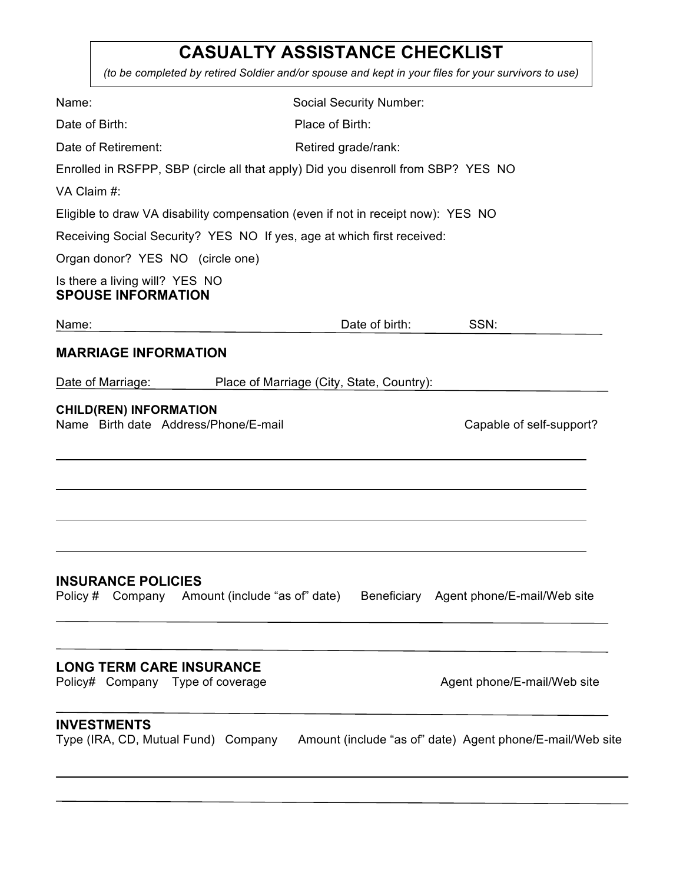## **CASUALTY ASSISTANCE CHECKLIST**

*(to be completed by retired Soldier and/or spouse and kept in your files for your survivors to use)*

| Name:                                                                             | <b>Social Security Number:</b>            |                                                           |
|-----------------------------------------------------------------------------------|-------------------------------------------|-----------------------------------------------------------|
| Date of Birth:                                                                    | Place of Birth:                           |                                                           |
| Date of Retirement:                                                               | Retired grade/rank:                       |                                                           |
| Enrolled in RSFPP, SBP (circle all that apply) Did you disenroll from SBP? YES NO |                                           |                                                           |
| VA Claim #:                                                                       |                                           |                                                           |
| Eligible to draw VA disability compensation (even if not in receipt now): YES NO  |                                           |                                                           |
| Receiving Social Security? YES NO If yes, age at which first received:            |                                           |                                                           |
| Organ donor? YES NO (circle one)                                                  |                                           |                                                           |
| Is there a living will? YES NO<br><b>SPOUSE INFORMATION</b>                       |                                           |                                                           |
| Name:<br>the control of the control of the control of                             | Date of birth:                            | SSN:                                                      |
| <b>MARRIAGE INFORMATION</b>                                                       |                                           |                                                           |
| Date of Marriage:                                                                 | Place of Marriage (City, State, Country): |                                                           |
| <b>CHILD(REN) INFORMATION</b><br>Name Birth date Address/Phone/E-mail             |                                           | Capable of self-support?                                  |
| <b>INSURANCE POLICIES</b><br>Policy # Company Amount (include "as of" date)       |                                           | Beneficiary Agent phone/E-mail/Web site                   |
| <b>LONG TERM CARE INSURANCE</b><br>Policy# Company Type of coverage               |                                           | Agent phone/E-mail/Web site                               |
| <b>INVESTMENTS</b><br>Type (IRA, CD, Mutual Fund) Company                         |                                           | Amount (include "as of" date) Agent phone/E-mail/Web site |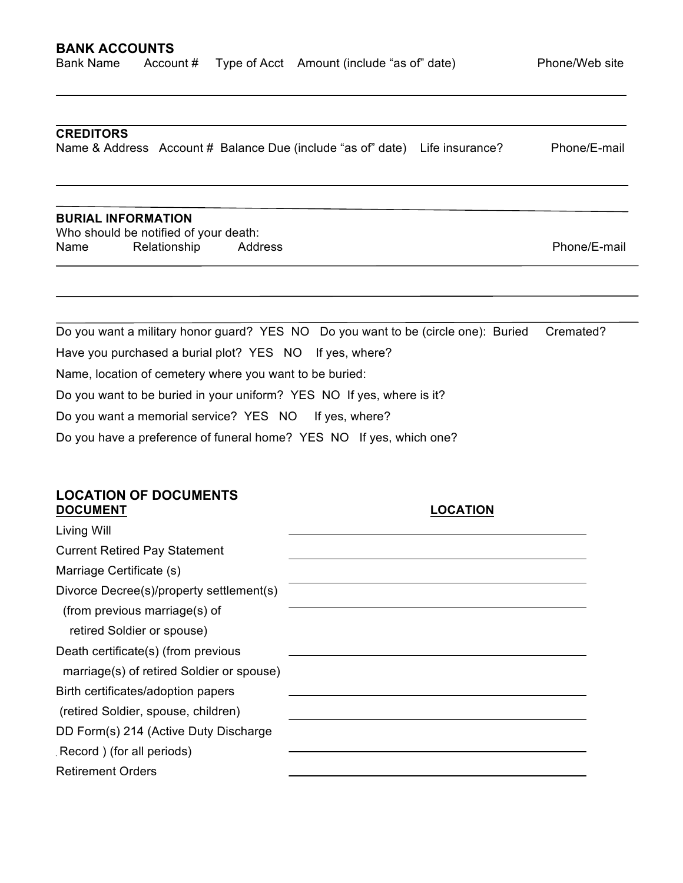l.

#### **CREDITORS**

Name & Address Account # Balance Due (include "as of" date) Life insurance? Phone/E-mail

#### **BURIAL INFORMATION**

Who should be notified of your death: Name Relationship Address **Phone**/E-mail

Do you want a military honor guard? YES NO Do you want to be (circle one): Buried Cremated? Have you purchased a burial plot? YES NO If yes, where? Name, location of cemetery where you want to be buried: Do you want to be buried in your uniform? YES NO If yes, where is it? Do you want a memorial service? YES NO If yes, where? Do you have a preference of funeral home? YES NO If yes, which one?

# **LOCATION OF DOCUMENTS**

| <b>DOCUMENT</b>                           | <b>LOCATION</b> |
|-------------------------------------------|-----------------|
| Living Will                               |                 |
| <b>Current Retired Pay Statement</b>      |                 |
| Marriage Certificate (s)                  |                 |
| Divorce Decree(s)/property settlement(s)  |                 |
| (from previous marriage(s) of             |                 |
| retired Soldier or spouse)                |                 |
| Death certificate(s) (from previous       |                 |
| marriage(s) of retired Soldier or spouse) |                 |
| Birth certificates/adoption papers        |                 |
| (retired Soldier, spouse, children)       |                 |
| DD Form(s) 214 (Active Duty Discharge     |                 |
| Record) (for all periods)                 |                 |
| <b>Retirement Orders</b>                  |                 |